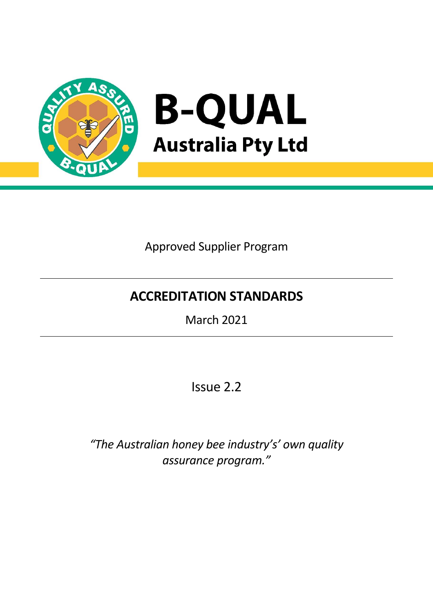

Approved Supplier Program

# **ACCREDITATION STANDARDS**

March 2021

Issue 2.2

*"The Australian honey bee industry's' own quality assurance program."*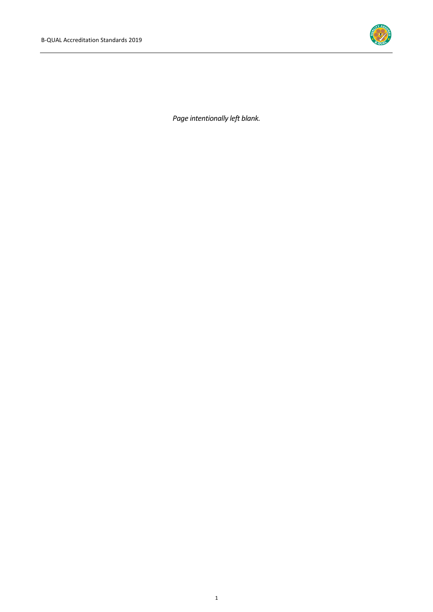

*Page intentionally left blank.*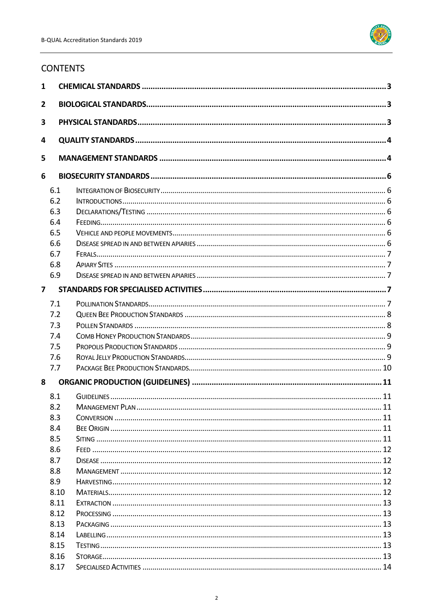

## **CONTENTS**

| $\mathbf{1}$            |      |  |  |
|-------------------------|------|--|--|
| $\mathbf{2}$            |      |  |  |
| $\overline{\mathbf{3}}$ |      |  |  |
| 4                       |      |  |  |
| 5                       |      |  |  |
| 6                       |      |  |  |
|                         | 6.1  |  |  |
|                         | 6.2  |  |  |
|                         | 6.3  |  |  |
|                         | 6.4  |  |  |
|                         | 6.5  |  |  |
|                         | 6.6  |  |  |
|                         | 6.7  |  |  |
|                         | 6.8  |  |  |
|                         | 6.9  |  |  |
| $\overline{\mathbf{z}}$ |      |  |  |
|                         | 7.1  |  |  |
|                         | 7.2  |  |  |
|                         | 7.3  |  |  |
|                         | 7.4  |  |  |
|                         | 7.5  |  |  |
|                         | 7.6  |  |  |
|                         | 7.7  |  |  |
| 8                       |      |  |  |
|                         | 8.1  |  |  |
|                         | 8.2  |  |  |
|                         | 8.3  |  |  |
|                         | 8.4  |  |  |
|                         | 8.5  |  |  |
|                         | 8.6  |  |  |
|                         | 8.7  |  |  |
|                         | 8.8  |  |  |
|                         | 8.9  |  |  |
|                         | 8.10 |  |  |
|                         | 8.11 |  |  |
|                         | 8.12 |  |  |
|                         | 8.13 |  |  |
|                         | 8.14 |  |  |
|                         | 8.15 |  |  |
|                         | 8.16 |  |  |
|                         | 8.17 |  |  |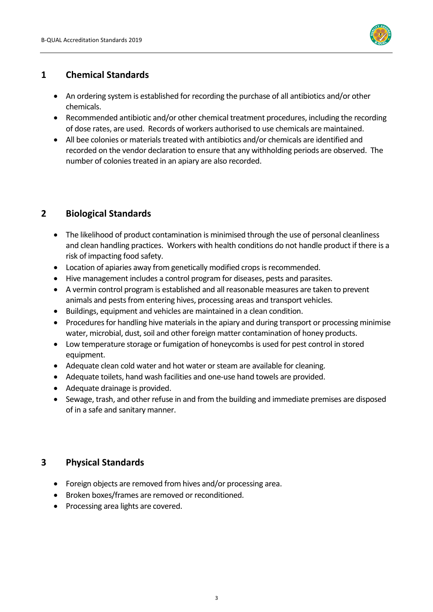

## **1 Chemical Standards**

- An ordering system is established for recording the purchase of all antibiotics and/or other chemicals.
- Recommended antibiotic and/or other chemical treatment procedures, including the recording of dose rates, are used. Records of workers authorised to use chemicals are maintained.
- All bee colonies or materials treated with antibiotics and/or chemicals are identified and recorded on the vendor declaration to ensure that any withholding periods are observed. The number of colonies treated in an apiary are also recorded.

# **2 Biological Standards**

- The likelihood of product contamination is minimised through the use of personal cleanliness and clean handling practices. Workers with health conditions do not handle product if there is a risk of impacting food safety.
- Location of apiaries away from genetically modified crops is recommended.
- Hive management includes a control program for diseases, pests and parasites.
- A vermin control program is established and all reasonable measures are taken to prevent animals and pests from entering hives, processing areas and transport vehicles.
- Buildings, equipment and vehicles are maintained in a clean condition.
- Procedures for handling hive materials in the apiary and during transport or processing minimise water, microbial, dust, soil and other foreign matter contamination of honey products.
- Low temperature storage or fumigation of honeycombs is used for pest control in stored equipment.
- Adequate clean cold water and hot water or steam are available for cleaning.
- Adequate toilets, hand wash facilities and one-use hand towels are provided.
- Adequate drainage is provided.
- Sewage, trash, and other refuse in and from the building and immediate premises are disposed of in a safe and sanitary manner.

# **3 Physical Standards**

- Foreign objects are removed from hives and/or processing area.
- Broken boxes/frames are removed or reconditioned.
- Processing area lights are covered.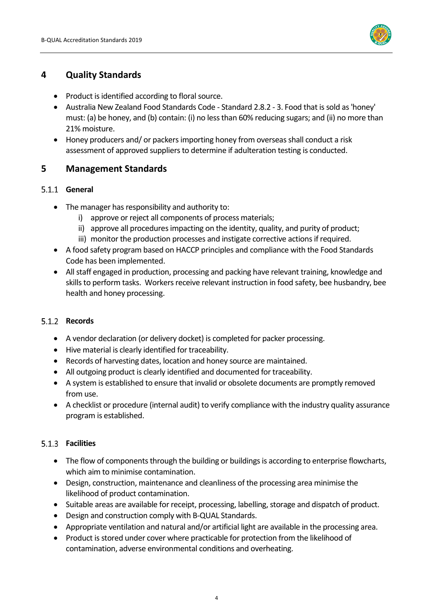

# **4 Quality Standards**

- Product is identified according to floral source.
- Australia New Zealand Food Standards Code Standard 2.8.2 3. Food that is sold as 'honey' must: (a) be honey, and (b) contain: (i) no less than 60% reducing sugars; and (ii) no more than 21% moisture.
- Honey producers and/ or packers importing honey from overseas shall conduct a risk assessment of approved suppliers to determine if adulteration testing is conducted.

# **5 Management Standards**

## **General**

- The manager has responsibility and authority to:
	- i) approve or reject all components of process materials;
	- ii) approve all procedures impacting on the identity, quality, and purity of product;
	- iii) monitor the production processes and instigate corrective actions if required.
- A food safety program based on HACCP principles and compliance with the Food Standards Code has been implemented.
- All staff engaged in production, processing and packing have relevant training, knowledge and skills to perform tasks. Workers receive relevant instruction in food safety, bee husbandry, bee health and honey processing.

## 5.1.2 Records

- A vendor declaration (or delivery docket) is completed for packer processing.
- Hive material is clearly identified for traceability.
- Records of harvesting dates, location and honey source are maintained.
- All outgoing product is clearly identified and documented for traceability.
- A system is established to ensure that invalid or obsolete documents are promptly removed from use.
- A checklist or procedure (internal audit) to verify compliance with the industry quality assurance program is established.

## **Facilities**

- The flow of components through the building or buildings is according to enterprise flowcharts, which aim to minimise contamination.
- Design, construction, maintenance and cleanliness of the processing area minimise the likelihood of product contamination.
- Suitable areas are available for receipt, processing, labelling, storage and dispatch of product.
- Design and construction comply with B-QUAL Standards.
- Appropriate ventilation and natural and/or artificial light are available in the processing area.
- Product is stored under cover where practicable for protection from the likelihood of contamination, adverse environmental conditions and overheating.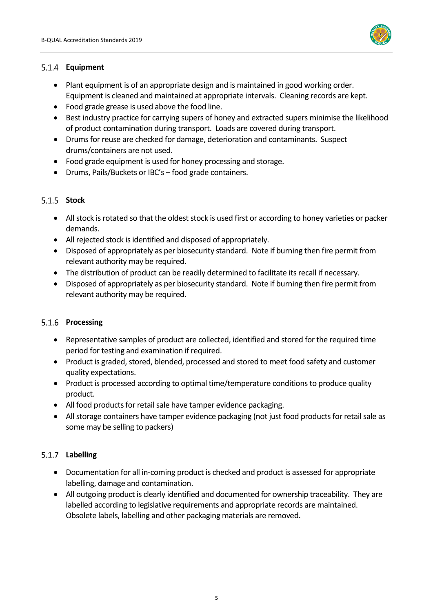

#### **Equipment**

- Plant equipment is of an appropriate design and is maintained in good working order. Equipment is cleaned and maintained at appropriate intervals. Cleaning records are kept.
- Food grade grease is used above the food line.
- Best industry practice for carrying supers of honey and extracted supers minimise the likelihood of product contamination during transport. Loads are covered during transport.
- Drums for reuse are checked for damage, deterioration and contaminants. Suspect drums/containers are not used.
- Food grade equipment is used for honey processing and storage.
- Drums, Pails/Buckets or IBC's food grade containers.

## **Stock**

- All stock is rotated so that the oldest stock is used first or according to honey varieties or packer demands.
- All rejected stock is identified and disposed of appropriately.
- Disposed of appropriately as per biosecurity standard. Note if burning then fire permit from relevant authority may be required.
- The distribution of product can be readily determined to facilitate its recall if necessary.
- Disposed of appropriately as per biosecurity standard. Note if burning then fire permit from relevant authority may be required.

## 5.1.6 Processing

- Representative samples of product are collected, identified and stored for the required time period for testing and examination if required.
- Product is graded, stored, blended, processed and stored to meet food safety and customer quality expectations.
- Product is processed according to optimal time/temperature conditions to produce quality product.
- All food products for retail sale have tamper evidence packaging.
- All storage containers have tamper evidence packaging (not just food products for retail sale as some may be selling to packers)

## **Labelling**

- Documentation for all in-coming product is checked and product is assessed for appropriate labelling, damage and contamination.
- All outgoing product is clearly identified and documented for ownership traceability. They are labelled according to legislative requirements and appropriate records are maintained. Obsolete labels, labelling and other packaging materials are removed.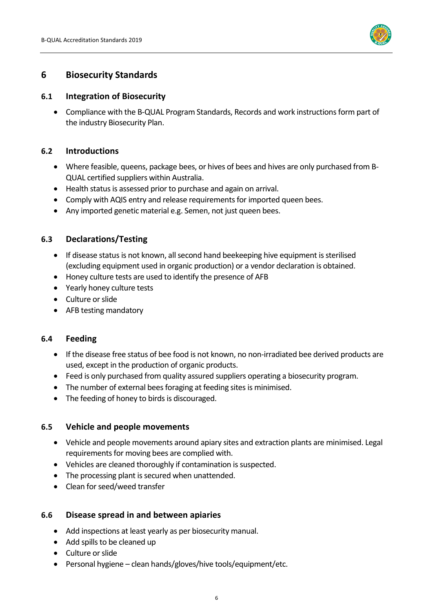

# **6 Biosecurity Standards**

#### **6.1 Integration of Biosecurity**

• Compliance with the B-QUAL Program Standards, Records and work instructions form part of the industry Biosecurity Plan.

## **6.2 Introductions**

- Where feasible, queens, package bees, or hives of bees and hives are only purchased from B-QUAL certified suppliers within Australia.
- Health status is assessed prior to purchase and again on arrival.
- Comply with AQIS entry and release requirements for imported queen bees.
- Any imported genetic material e.g. Semen, not just queen bees.

## **6.3 Declarations/Testing**

- If disease status is not known, all second hand beekeeping hive equipment is sterilised (excluding equipment used in organic production) or a vendor declaration is obtained.
- Honey culture tests are used to identify the presence of AFB
- Yearly honey culture tests
- Culture or slide
- AFB testing mandatory

#### **6.4 Feeding**

- If the disease free status of bee food is not known, no non-irradiated bee derived products are used, except in the production of organic products.
- Feed is only purchased from quality assured suppliers operating a biosecurity program.
- The number of external bees foraging at feeding sites is minimised.
- The feeding of honey to birds is discouraged.

#### **6.5 Vehicle and people movements**

- Vehicle and people movements around apiary sites and extraction plants are minimised. Legal requirements for moving bees are complied with.
- Vehicles are cleaned thoroughly if contamination is suspected.
- The processing plant is secured when unattended.
- Clean for seed/weed transfer

#### **6.6 Disease spread in and between apiaries**

- Add inspections at least yearly as per biosecurity manual.
- Add spills to be cleaned up
- Culture or slide
- Personal hygiene clean hands/gloves/hive tools/equipment/etc.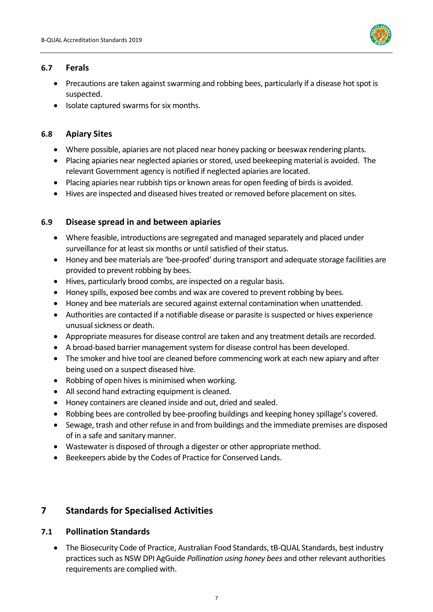

#### **6.7 Ferals**

- Precautions are taken against swarming and robbing bees, particularly if a disease hot spot is suspected.
- Isolate captured swarms for six months.

# **6.8 Apiary Sites**

- Where possible, apiaries are not placed near honey packing or beeswax rendering plants.
- Placing apiaries near neglected apiaries or stored, used beekeeping material is avoided. The relevant Government agency is notified if neglected apiaries are located.
- Placing apiaries near rubbish tips or known areas for open feeding of birds is avoided.
- Hives are inspected and diseased hives treated or removed before placement on sites.

# **6.9 Disease spread in and between apiaries**

- Where feasible, introductions are segregated and managed separately and placed under surveillance for at least six months or until satisfied of their status.
- Honey and bee materials are 'bee-proofed' during transport and adequate storage facilities are provided to prevent robbing by bees.
- Hives, particularly brood combs, are inspected on a regular basis.
- Honey spills, exposed bee combs and wax are covered to prevent robbing by bees.
- Honey and bee materials are secured against external contamination when unattended.
- Authorities are contacted if a notifiable disease or parasite is suspected or hives experience unusual sickness or death.
- Appropriate measures for disease control are taken and any treatment details are recorded.
- A broad-based barrier management system for disease control has been developed.
- The smoker and hive tool are cleaned before commencing work at each new apiary and after being used on a suspect diseased hive.
- Robbing of open hives is minimised when working.
- All second hand extracting equipment is cleaned.
- Honey containers are cleaned inside and out, dried and sealed.
- Robbing bees are controlled by bee-proofing buildings and keeping honey spillage's covered.
- Sewage, trash and other refuse in and from buildings and the immediate premises are disposed of in a safe and sanitary manner.
- Wastewater is disposed of through a digester or other appropriate method.
- Beekeepers abide by the Codes of Practice for Conserved Lands.

# **7 Standards for Specialised Activities**

## **7.1 Pollination Standards**

• The Biosecurity Code of Practice, Australian Food Standards, tB-QUAL Standards, best industry practices such as NSW DPI AgGuide *Pollination using honey bees* and other relevant authorities requirements are complied with.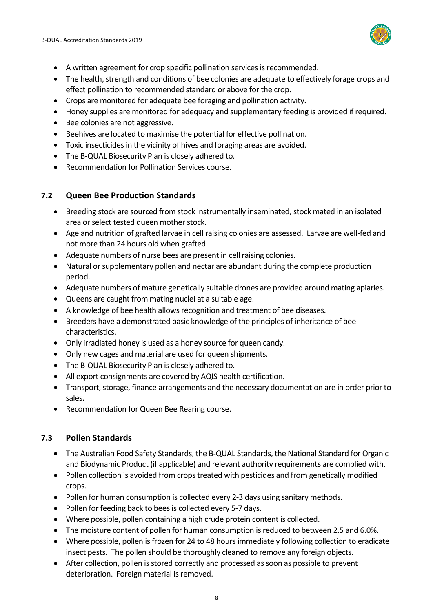

- A written agreement for crop specific pollination services is recommended.
- The health, strength and conditions of bee colonies are adequate to effectively forage crops and effect pollination to recommended standard or above for the crop.
- Crops are monitored for adequate bee foraging and pollination activity.
- Honey supplies are monitored for adequacy and supplementary feeding is provided if required.
- Bee colonies are not aggressive.
- Beehives are located to maximise the potential for effective pollination.
- Toxic insecticides in the vicinity of hives and foraging areas are avoided.
- The B-QUAL Biosecurity Plan is closely adhered to.
- Recommendation for Pollination Services course.

## **7.2 Queen Bee Production Standards**

- Breeding stock are sourced from stock instrumentally inseminated, stock mated in an isolated area or select tested queen mother stock.
- Age and nutrition of grafted larvae in cell raising colonies are assessed. Larvae are well-fed and not more than 24 hours old when grafted.
- Adequate numbers of nurse bees are present in cell raising colonies.
- Natural or supplementary pollen and nectar are abundant during the complete production period.
- Adequate numbers of mature genetically suitable drones are provided around mating apiaries.
- Queens are caught from mating nuclei at a suitable age.
- A knowledge of bee health allows recognition and treatment of bee diseases.
- Breeders have a demonstrated basic knowledge of the principles of inheritance of bee characteristics.
- Only irradiated honey is used as a honey source for queen candy.
- Only new cages and material are used for queen shipments.
- The B-QUAL Biosecurity Plan is closely adhered to.
- All export consignments are covered by AQIS health certification.
- Transport, storage, finance arrangements and the necessary documentation are in order prior to sales.
- Recommendation for Queen Bee Rearing course.

## **7.3 Pollen Standards**

- The Australian Food Safety Standards, the B-QUAL Standards, the National Standard for Organic and Biodynamic Product (if applicable) and relevant authority requirements are complied with.
- Pollen collection is avoided from crops treated with pesticides and from genetically modified crops.
- Pollen for human consumption is collected every 2-3 days using sanitary methods.
- Pollen for feeding back to bees is collected every 5-7 days.
- Where possible, pollen containing a high crude protein content is collected.
- The moisture content of pollen for human consumption is reduced to between 2.5 and 6.0%.
- Where possible, pollen is frozen for 24 to 48 hours immediately following collection to eradicate insect pests. The pollen should be thoroughly cleaned to remove any foreign objects.
- After collection, pollen is stored correctly and processed as soon as possible to prevent deterioration. Foreign material is removed.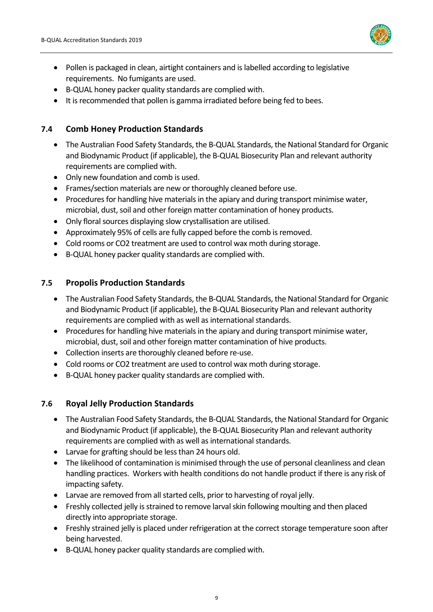

- Pollen is packaged in clean, airtight containers and is labelled according to legislative requirements. No fumigants are used.
- B-QUAL honey packer quality standards are complied with.
- It is recommended that pollen is gamma irradiated before being fed to bees.

# **7.4 Comb Honey Production Standards**

- The Australian Food Safety Standards, the B-QUAL Standards, the National Standard for Organic and Biodynamic Product (if applicable), the B-QUAL Biosecurity Plan and relevant authority requirements are complied with.
- Only new foundation and comb is used.
- Frames/section materials are new or thoroughly cleaned before use.
- Procedures for handling hive materials in the apiary and during transport minimise water, microbial, dust, soil and other foreign matter contamination of honey products.
- Only floral sources displaying slow crystallisation are utilised.
- Approximately 95% of cells are fully capped before the comb is removed.
- Cold rooms or CO2 treatment are used to control wax moth during storage.
- B-QUAL honey packer quality standards are complied with.

# **7.5 Propolis Production Standards**

- The Australian Food Safety Standards, the B-QUAL Standards, the National Standard for Organic and Biodynamic Product (if applicable), the B-QUAL Biosecurity Plan and relevant authority requirements are complied with as well as international standards.
- Procedures for handling hive materials in the apiary and during transport minimise water, microbial, dust, soil and other foreign matter contamination of hive products.
- Collection inserts are thoroughly cleaned before re-use.
- Cold rooms or CO2 treatment are used to control wax moth during storage.
- B-QUAL honey packer quality standards are complied with.

# **7.6 Royal Jelly Production Standards**

- The Australian Food Safety Standards, the B-QUAL Standards, the National Standard for Organic and Biodynamic Product (if applicable), the B-QUAL Biosecurity Plan and relevant authority requirements are complied with as well as international standards.
- Larvae for grafting should be less than 24 hours old.
- The likelihood of contamination is minimised through the use of personal cleanliness and clean handling practices. Workers with health conditions do not handle product if there is any risk of impacting safety.
- Larvae are removed from all started cells, prior to harvesting of royal jelly.
- Freshly collected jelly is strained to remove larval skin following moulting and then placed directly into appropriate storage.
- Freshly strained jelly is placed under refrigeration at the correct storage temperature soon after being harvested.
- B-QUAL honey packer quality standards are complied with.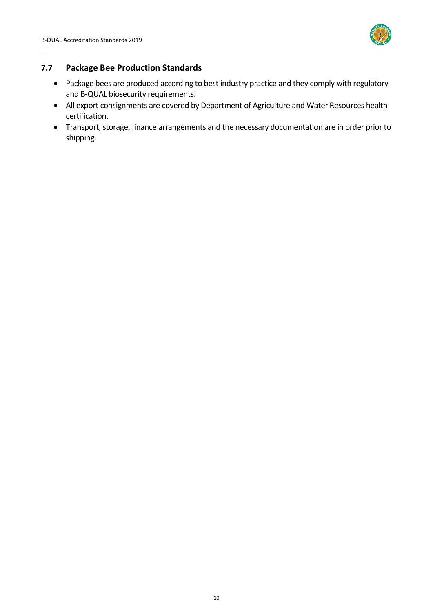

## **7.7 Package Bee Production Standards**

- Package bees are produced according to best industry practice and they comply with regulatory and B-QUAL biosecurity requirements.
- All export consignments are covered by Department of Agriculture and Water Resources health certification.
- Transport, storage, finance arrangements and the necessary documentation are in order prior to shipping.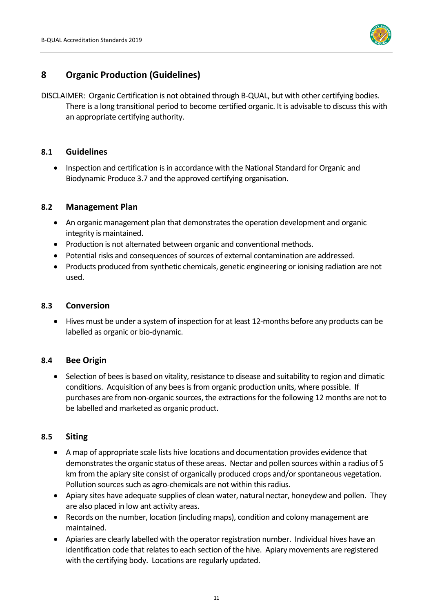

# **8 Organic Production (Guidelines)**

DISCLAIMER: Organic Certification is not obtained through B-QUAL, but with other certifying bodies. There is a long transitional period to become certified organic. It is advisable to discuss this with an appropriate certifying authority.

## **8.1 Guidelines**

• Inspection and certification is in accordance with the National Standard for Organic and Biodynamic Produce 3.7 and the approved certifying organisation.

## **8.2 Management Plan**

- An organic management plan that demonstrates the operation development and organic integrity is maintained.
- Production is not alternated between organic and conventional methods.
- Potential risks and consequences of sources of external contamination are addressed.
- Products produced from synthetic chemicals, genetic engineering or ionising radiation are not used.

#### **8.3 Conversion**

• Hives must be under a system of inspection for at least 12-months before any products can be labelled as organic or bio‐dynamic.

## **8.4 Bee Origin**

• Selection of bees is based on vitality, resistance to disease and suitability to region and climatic conditions. Acquisition of any bees is from organic production units, where possible. If purchases are from non-organic sources, the extractions for the following 12 months are not to be labelled and marketed as organic product.

## **8.5 Siting**

- A map of appropriate scale lists hive locations and documentation provides evidence that demonstrates the organic status of these areas. Nectar and pollen sources within a radius of 5 km from the apiary site consist of organically produced crops and/or spontaneous vegetation. Pollution sources such as agro-chemicals are not within this radius.
- Apiary sites have adequate supplies of clean water, natural nectar, honeydew and pollen. They are also placed in low ant activity areas.
- Records on the number, location (including maps), condition and colony management are maintained.
- Apiaries are clearly labelled with the operator registration number. Individual hives have an identification code that relates to each section of the hive. Apiary movements are registered with the certifying body. Locations are regularly updated.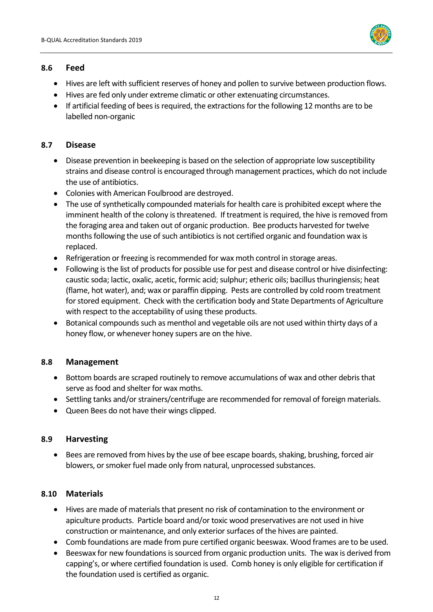

#### **8.6 Feed**

- Hives are left with sufficient reserves of honey and pollen to survive between production flows.
- Hives are fed only under extreme climatic or other extenuating circumstances.
- If artificial feeding of bees is required, the extractions for the following 12 months are to be labelled non-organic

# **8.7 Disease**

- Disease prevention in beekeeping is based on the selection of appropriate low susceptibility strains and disease control is encouraged through management practices, which do not include the use of antibiotics.
- Colonies with American Foulbrood are destroyed.
- The use of synthetically compounded materials for health care is prohibited except where the imminent health of the colony is threatened. If treatment is required, the hive is removed from the foraging area and taken out of organic production. Bee products harvested for twelve months following the use of such antibiotics is not certified organic and foundation wax is replaced.
- Refrigeration or freezing is recommended for wax moth control in storage areas.
- Following is the list of products for possible use for pest and disease control or hive disinfecting: caustic soda; lactic, oxalic, acetic, formic acid; sulphur; etheric oils; bacillus thuringiensis; heat (flame, hot water), and; wax or paraffin dipping. Pests are controlled by cold room treatment for stored equipment. Check with the certification body and State Departments of Agriculture with respect to the acceptability of using these products.
- Botanical compounds such as menthol and vegetable oils are not used within thirty days of a honey flow, or whenever honey supers are on the hive.

# **8.8 Management**

- Bottom boards are scraped routinely to remove accumulations of wax and other debris that serve as food and shelter for wax moths.
- Settling tanks and/or strainers/centrifuge are recommended for removal of foreign materials.
- Queen Bees do not have their wings clipped.

## **8.9 Harvesting**

• Bees are removed from hives by the use of bee escape boards, shaking, brushing, forced air blowers, or smoker fuel made only from natural, unprocessed substances.

## **8.10 Materials**

- Hives are made of materials that present no risk of contamination to the environment or apiculture products. Particle board and/or toxic wood preservatives are not used in hive construction or maintenance, and only exterior surfaces of the hives are painted.
- Comb foundations are made from pure certified organic beeswax. Wood frames are to be used.
- Beeswax for new foundations is sourced from organic production units. The wax is derived from capping's, or where certified foundation is used. Comb honey is only eligible for certification if the foundation used is certified as organic.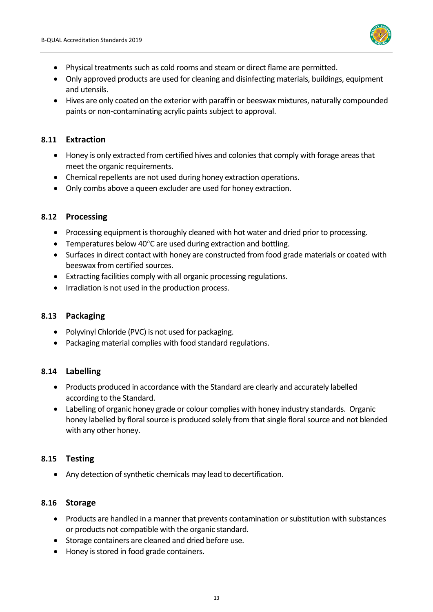

- Physical treatments such as cold rooms and steam or direct flame are permitted.
- Only approved products are used for cleaning and disinfecting materials, buildings, equipment and utensils.
- Hives are only coated on the exterior with paraffin or beeswax mixtures, naturally compounded paints or non-contaminating acrylic paints subject to approval.

#### **8.11 Extraction**

- Honey is only extracted from certified hives and colonies that comply with forage areas that meet the organic requirements.
- Chemical repellents are not used during honey extraction operations.
- Only combs above a queen excluder are used for honey extraction.

#### **8.12 Processing**

- Processing equipment is thoroughly cleaned with hot water and dried prior to processing.
- Temperatures below 40 $\degree$ C are used during extraction and bottling.
- Surfaces in direct contact with honey are constructed from food grade materials or coated with beeswax from certified sources.
- Extracting facilities comply with all organic processing regulations.
- Irradiation is not used in the production process.

#### **8.13 Packaging**

- Polyvinyl Chloride (PVC) is not used for packaging.
- Packaging material complies with food standard regulations.

#### **8.14 Labelling**

- Products produced in accordance with the Standard are clearly and accurately labelled according to the Standard.
- Labelling of organic honey grade or colour complies with honey industry standards. Organic honey labelled by floral source is produced solely from that single floral source and not blended with any other honey.

#### **8.15 Testing**

• Any detection of synthetic chemicals may lead to decertification.

#### **8.16 Storage**

- Products are handled in a manner that prevents contamination or substitution with substances or products not compatible with the organic standard.
- Storage containers are cleaned and dried before use.
- Honey is stored in food grade containers.